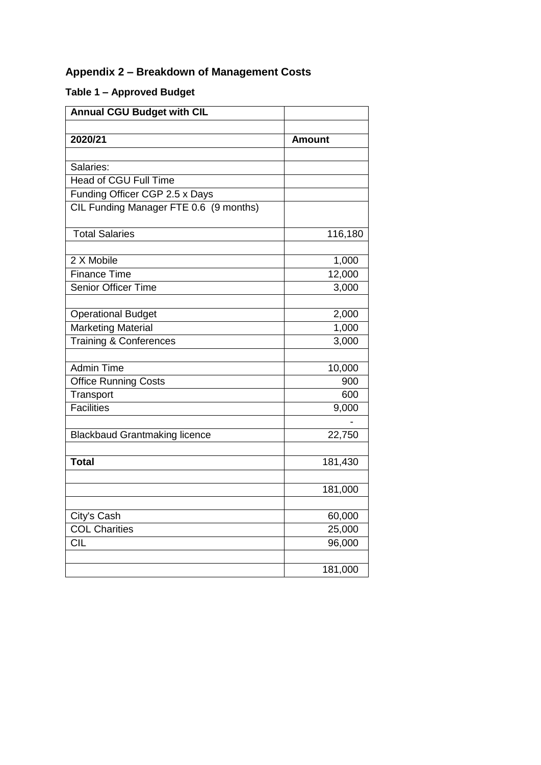## **Appendix 2 – Breakdown of Management Costs**

## **Table 1 – Approved Budget**

| <b>Annual CGU Budget with CIL</b>      |               |
|----------------------------------------|---------------|
|                                        |               |
| 2020/21                                | <b>Amount</b> |
|                                        |               |
| Salaries:                              |               |
| <b>Head of CGU Full Time</b>           |               |
| Funding Officer CGP 2.5 x Days         |               |
| CIL Funding Manager FTE 0.6 (9 months) |               |
| <b>Total Salaries</b>                  | 116,180       |
| 2 X Mobile                             | 1,000         |
| <b>Finance Time</b>                    | 12,000        |
| <b>Senior Officer Time</b>             | 3,000         |
| <b>Operational Budget</b>              | 2,000         |
| <b>Marketing Material</b>              | 1,000         |
| <b>Training &amp; Conferences</b>      | 3,000         |
| <b>Admin Time</b>                      |               |
|                                        | 10,000<br>900 |
| <b>Office Running Costs</b>            | 600           |
| Transport<br><b>Facilities</b>         | 9,000         |
|                                        |               |
| <b>Blackbaud Grantmaking licence</b>   | 22,750        |
| <b>Total</b>                           | 181,430       |
|                                        |               |
|                                        | 181,000       |
| City's Cash                            | 60,000        |
| <b>COL Charities</b>                   | 25,000        |
| <b>CIL</b>                             | 96,000        |
|                                        |               |
|                                        | 181,000       |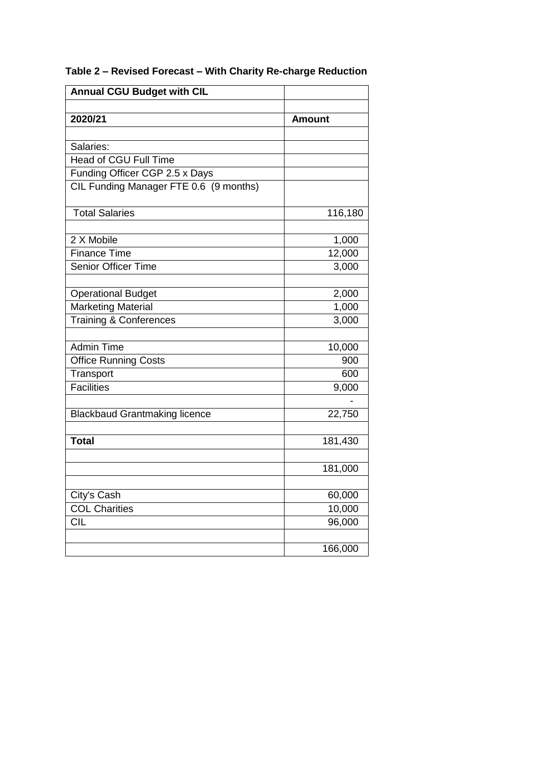| <b>Annual CGU Budget with CIL</b>      |               |
|----------------------------------------|---------------|
|                                        |               |
| 2020/21                                | <b>Amount</b> |
|                                        |               |
| Salaries:                              |               |
| <b>Head of CGU Full Time</b>           |               |
| Funding Officer CGP 2.5 x Days         |               |
| CIL Funding Manager FTE 0.6 (9 months) |               |
| <b>Total Salaries</b>                  |               |
|                                        | 116,180       |
| 2 X Mobile                             | 1,000         |
| <b>Finance Time</b>                    | 12,000        |
| <b>Senior Officer Time</b>             | 3,000         |
|                                        |               |
| <b>Operational Budget</b>              | 2,000         |
| <b>Marketing Material</b>              | 1,000         |
| <b>Training &amp; Conferences</b>      | 3,000         |
|                                        |               |
| <b>Admin Time</b>                      | 10,000        |
| <b>Office Running Costs</b>            | 900           |
| Transport                              | 600           |
| Facilities                             | 9,000         |
|                                        |               |
| <b>Blackbaud Grantmaking licence</b>   | 22,750        |
|                                        |               |
| <b>Total</b>                           | 181,430       |
|                                        | 181,000       |
|                                        |               |
| City's Cash                            | 60,000        |
| <b>COL Charities</b>                   | 10,000        |
| <b>CIL</b>                             | 96,000        |
|                                        |               |
|                                        | 166,000       |

## **Table 2 – Revised Forecast – With Charity Re-charge Reduction**